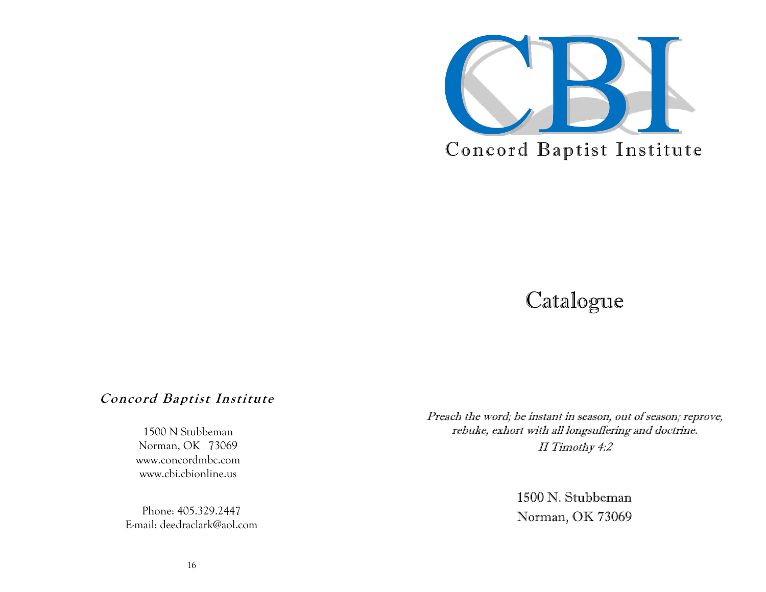

# Catalogue

# **Concord Baptist Institute**

1500 N Stubbeman Norman, OK 73069 www.concordmbc.com www.cbi.cbionline.us

Phone: 405.329.2447 E-mail: deedraclark@aol.com Preach the word; be instant in season, out of season; reprove, rebuke, exhort with all longsuffering and doctrine. II Timothy 4:2

> 1500 N. Stubbeman Norman, OK 73069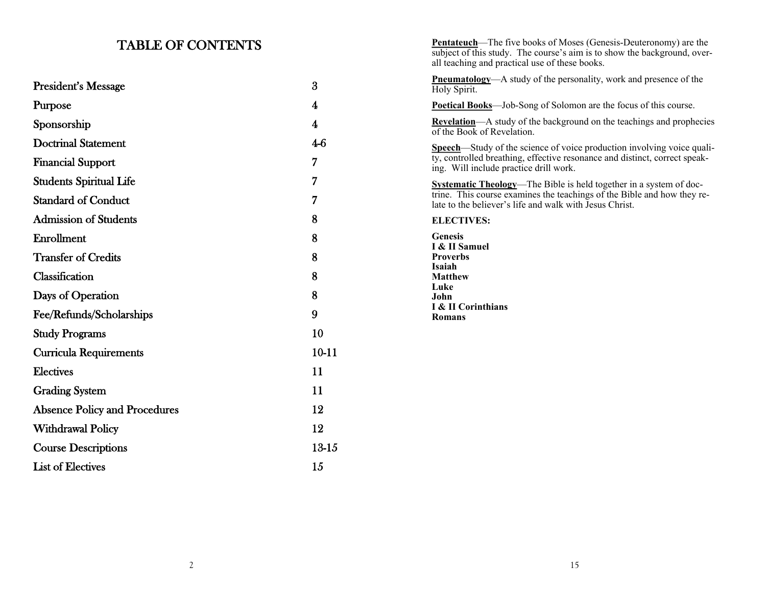# TABLE OF CONTENTS

|                                      |           | subject of this study. The course's aim is to show the background, over-<br>all teaching and practical use of these books.         |
|--------------------------------------|-----------|------------------------------------------------------------------------------------------------------------------------------------|
| <b>President's Message</b>           | 3         | <b>Pneumatology</b> —A study of the personality, work and presence of the<br>Holy Spirit.                                          |
| Purpose                              | 4         | Poetical Books-Job-Song of Solomon are the focus of this course.                                                                   |
| Sponsorship                          | 4         | <b>Revelation</b> —A study of the background on the teachings and prophecies<br>of the Book of Revelation.                         |
| <b>Doctrinal Statement</b>           | $4-6$     | Speech-Study of the science of voice production involving voice quali-                                                             |
| <b>Financial Support</b>             | 7         | ty, controlled breathing, effective resonance and distinct, correct speak-<br>ing. Will include practice drill work.               |
| <b>Students Spiritual Life</b>       | 7         | <b>Systematic Theology</b> —The Bible is held together in a system of doc-                                                         |
| <b>Standard of Conduct</b>           | 7         | trine. This course examines the teachings of the Bible and how they re-<br>late to the believer's life and walk with Jesus Christ. |
| <b>Admission of Students</b>         | 8         | <b>ELECTIVES:</b>                                                                                                                  |
| Enrollment                           | 8         | <b>Genesis</b><br>I & II Samuel                                                                                                    |
| <b>Transfer of Credits</b>           | 8         | <b>Proverbs</b><br>Isaiah                                                                                                          |
| Classification                       | 8         | <b>Matthew</b>                                                                                                                     |
| Days of Operation                    | 8         | Luke<br>John                                                                                                                       |
| Fee/Refunds/Scholarships             | 9         | I & II Corinthians<br><b>Romans</b>                                                                                                |
| <b>Study Programs</b>                | 10        |                                                                                                                                    |
| <b>Curricula Requirements</b>        | $10 - 11$ |                                                                                                                                    |
| <b>Electives</b>                     | 11        |                                                                                                                                    |
| <b>Grading System</b>                | 11        |                                                                                                                                    |
| <b>Absence Policy and Procedures</b> | 12        |                                                                                                                                    |
| <b>Withdrawal Policy</b>             | 12        |                                                                                                                                    |
| <b>Course Descriptions</b>           | 13-15     |                                                                                                                                    |
| <b>List of Electives</b>             | 15        |                                                                                                                                    |

**Pentateuch**—The five books of Moses (Genesis-Deuteronomy) are the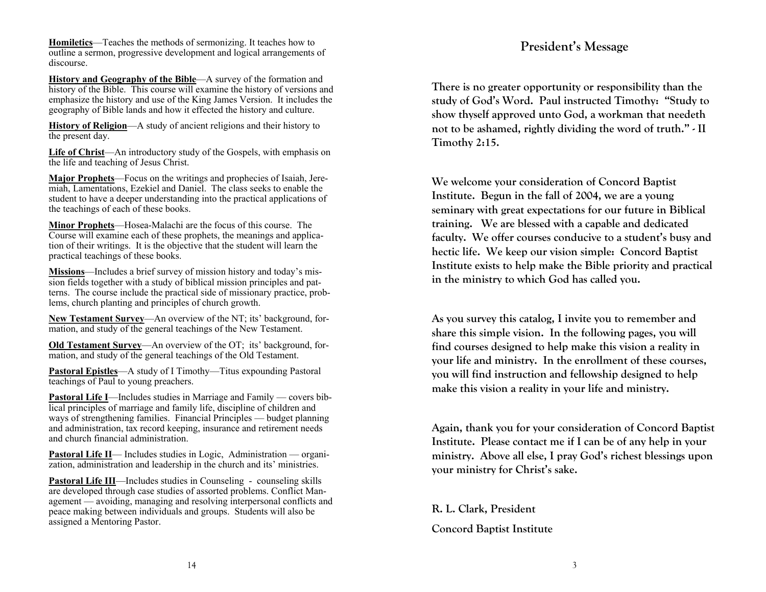**Homiletics**—Teaches the methods of sermonizing. It teaches how to outline a sermon, progressive development and logical arrangements of discourse.

**History and Geography of the Bible**—A survey of the formation and history of the Bible. This course will examine the history of versions and emphasize the history and use of the King James Version. It includes the geography of Bible lands and how it effected the history and culture.

**History of Religion**—A study of ancient religions and their history to the present day.

**Life of Christ**—An introductory study of the Gospels, with emphasis on the life and teaching of Jesus Christ.

**Major Prophets**—Focus on the writings and prophecies of Isaiah, Jeremiah, Lamentations, Ezekiel and Daniel. The class seeks to enable the student to have a deeper understanding into the practical applications of the teachings of each of these books.

**Minor Prophets**—Hosea-Malachi are the focus of this course. The Course will examine each of these prophets, the meanings and application of their writings. It is the objective that the student will learn the practical teachings of these books.

**Missions**—Includes a brief survey of mission history and today's mission fields together with a study of biblical mission principles and patterns. The course include the practical side of missionary practice, problems, church planting and principles of church growth.

**New Testament Survey**—An overview of the NT; its' background, formation, and study of the general teachings of the New Testament.

**Old Testament Survey—An overview of the OT; its' background, for**mation, and study of the general teachings of the Old Testament.

**Pastoral Epistles**—A study of I Timothy—Titus expounding Pastoral teachings of Paul to young preachers.

**Pastoral Life I**—Includes studies in Marriage and Family — covers biblical principles of marriage and family life, discipline of children and ways of strengthening families. Financial Principles — budget planning and administration, tax record keeping, insurance and retirement needs and church financial administration.

**Pastoral Life II**— Includes studies in Logic, Administration — organization, administration and leadership in the church and its' ministries.

**Pastoral Life III**—Includes studies in Counseling - counseling skills are developed through case studies of assorted problems. Conflict Management — avoiding, managing and resolving interpersonal conflicts and peace making between individuals and groups. Students will also be assigned a Mentoring Pastor.

# **President's Message**

**There is no greater opportunity or responsibility than the study of God's Word. Paul instructed Timothy: "Study to show thyself approved unto God, a workman that needeth not to be ashamed, rightly dividing the word of truth." - II Timothy 2:15.**

**We welcome your consideration of Concord Baptist Institute. Begun in the fall of 2004, we are a young seminary with great expectations for our future in Biblical training. We are blessed with a capable and dedicated faculty. We offer courses conducive to a student's busy and hectic life. We keep our vision simple: Concord Baptist Institute exists to help make the Bible priority and practical in the ministry to which God has called you.**

**As you survey this catalog, I invite you to remember and share this simple vision. In the following pages, you will find courses designed to help make this vision a reality in your life and ministry. In the enrollment of these courses, you will find instruction and fellowship designed to help make this vision a reality in your life and ministry.**

**Again, thank you for your consideration of Concord Baptist Institute. Please contact me if I can be of any help in your ministry. Above all else, I pray God's richest blessings upon your ministry for Christ's sake.**

# **R. L. Clark, President**

# **Concord Baptist Institute**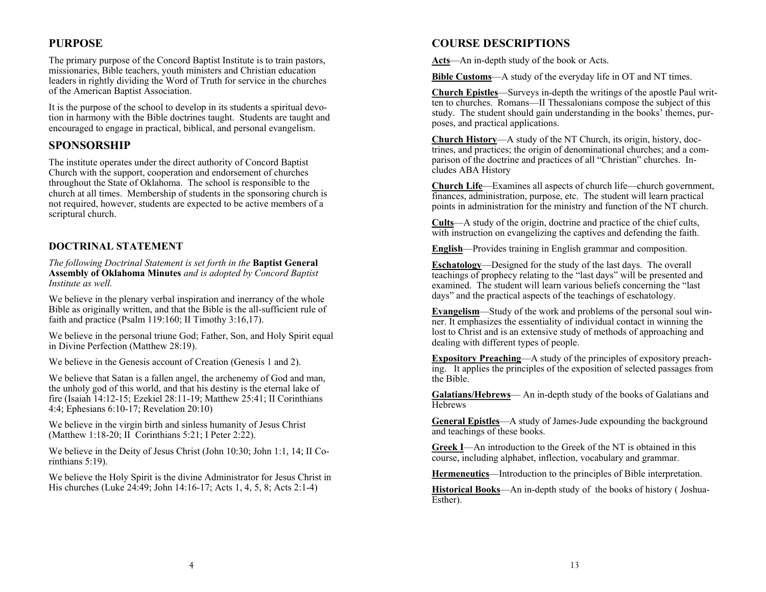# **PURPOSE**

The primary purpose of the Concord Baptist Institute is to train pastors, missionaries, Bible teachers, youth ministers and Christian education leaders in rightly dividing the Word of Truth for service in the churches of the American Baptist Association.

It is the purpose of the school to develop in its students a spiritual devotion in harmony with the Bible doctrines taught. Students are taught and encouraged to engage in practical, biblical, and personal evangelism.

## **SPONSORSHIP**

The institute operates under the direct authority of Concord Baptist Church with the support, cooperation and endorsement of churches throughout the State of Oklahoma. The school is responsible to the church at all times. Membership of students in the sponsoring church is not required, however, students are expected to be active members of a scriptural church.

### **DOCTRINAL STATEMENT**

*The following Doctrinal Statement is set forth in the* **Baptist General Assembly of Oklahoma Minutes** *and is adopted by Concord Baptist Institute as well.* 

We believe in the plenary verbal inspiration and inerrancy of the whole Bible as originally written, and that the Bible is the all-sufficient rule of faith and practice (Psalm 119:160; II Timothy 3:16,17).

We believe in the personal triune God; Father, Son, and Holy Spirit equal in Divine Perfection (Matthew 28:19).

We believe in the Genesis account of Creation (Genesis 1 and 2).

We believe that Satan is a fallen angel, the archenemy of God and man, the unholy god of this world, and that his destiny is the eternal lake of fire (Isaiah 14:12-15; Ezekiel 28:11-19; Matthew 25:41; II Corinthians 4:4; Ephesians 6:10-17; Revelation 20:10)

We believe in the virgin birth and sinless humanity of Jesus Christ (Matthew 1:18-20; II Corinthians 5:21; I Peter 2:22).

We believe in the Deity of Jesus Christ (John 10:30; John 1:1, 14; II Corinthians 5:19).

We believe the Holy Spirit is the divine Administrator for Jesus Christ in His churches (Luke 24:49; John 14:16-17; Acts 1, 4, 5, 8; Acts 2:1-4)

# **COURSE DESCRIPTIONS**

**Acts**—An in-depth study of the book or Acts.

**Bible Customs**—A study of the everyday life in OT and NT times.

**Church Epistles**—Surveys in-depth the writings of the apostle Paul written to churches. Romans—II Thessalonians compose the subject of this study. The student should gain understanding in the books' themes, purposes, and practical applications.

**Church History**—A study of the NT Church, its origin, history, doctrines, and practices; the origin of denominational churches; and a comparison of the doctrine and practices of all "Christian" churches. Includes ABA History

**Church Life**—Examines all aspects of church life—church government, finances, administration, purpose, etc. The student will learn practical points in administration for the ministry and function of the NT church.

**Cults**—A study of the origin, doctrine and practice of the chief cults, with instruction on evangelizing the captives and defending the faith.

**English**—Provides training in English grammar and composition.

**Eschatology**—Designed for the study of the last days. The overall teachings of prophecy relating to the "last days" will be presented and examined. The student will learn various beliefs concerning the "last days" and the practical aspects of the teachings of eschatology.

**Evangelism**—Study of the work and problems of the personal soul winner. It emphasizes the essentiality of individual contact in winning the lost to Christ and is an extensive study of methods of approaching and dealing with different types of people.

**Expository Preaching**—A study of the principles of expository preaching. It applies the principles of the exposition of selected passages from the Bible.

**Galatians/Hebrews**— An in-depth study of the books of Galatians and **Hebrews** 

**General Epistles**—A study of James-Jude expounding the background and teachings of these books.

**Greek I**—An introduction to the Greek of the NT is obtained in this course, including alphabet, inflection, vocabulary and grammar.

**Hermeneutics**—Introduction to the principles of Bible interpretation.

**Historical Books**—An in-depth study of the books of history ( Joshua-Esther).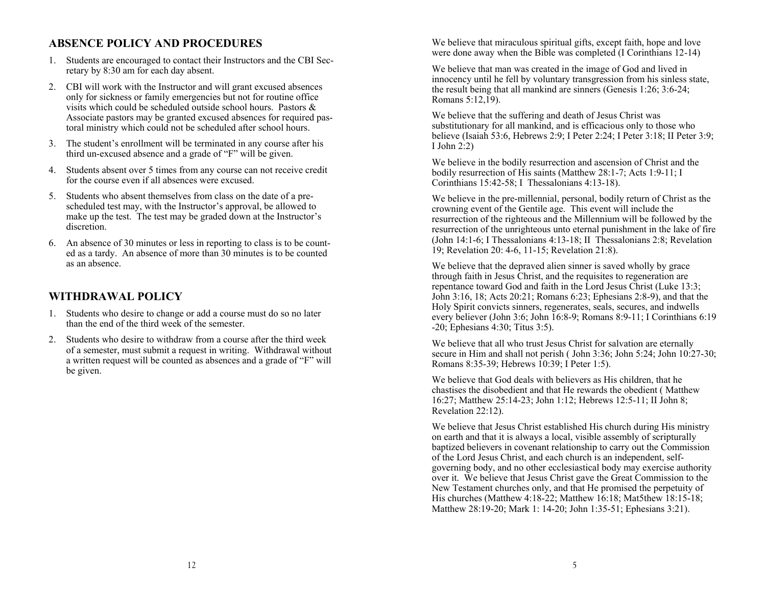# **ABSENCE POLICY AND PROCEDURES**

- 1. Students are encouraged to contact their Instructors and the CBI Secretary by 8:30 am for each day absent.
- 2. CBI will work with the Instructor and will grant excused absences only for sickness or family emergencies but not for routine office visits which could be scheduled outside school hours. Pastors & Associate pastors may be granted excused absences for required pastoral ministry which could not be scheduled after school hours.
- 3. The student's enrollment will be terminated in any course after his third un-excused absence and a grade of "F" will be given.
- 4. Students absent over 5 times from any course can not receive credit for the course even if all absences were excused.
- 5. Students who absent themselves from class on the date of a prescheduled test may, with the Instructor's approval, be allowed to make up the test. The test may be graded down at the Instructor's discretion.
- 6. An absence of 30 minutes or less in reporting to class is to be counted as a tardy. An absence of more than 30 minutes is to be counted as an absence.

### **WITHDRAWAL POLICY**

- 1. Students who desire to change or add a course must do so no later than the end of the third week of the semester.
- 2. Students who desire to withdraw from a course after the third week of a semester, must submit a request in writing. Withdrawal without a written request will be counted as absences and a grade of "F" will be given.

We believe that miraculous spiritual gifts, except faith, hope and love were done away when the Bible was completed (I Corinthians 12-14)

We believe that man was created in the image of God and lived in innocency until he fell by voluntary transgression from his sinless state, the result being that all mankind are sinners (Genesis 1:26; 3:6-24; Romans 5:12,19).

We believe that the suffering and death of Jesus Christ was substitutionary for all mankind, and is efficacious only to those who believe (Isaiah 53:6, Hebrews 2:9; I Peter 2:24; I Peter 3:18; II Peter 3:9; I John 2:2)

We believe in the bodily resurrection and ascension of Christ and the bodily resurrection of His saints (Matthew 28:1-7; Acts 1:9-11; I Corinthians 15:42-58; I Thessalonians 4:13-18).

We believe in the pre-millennial, personal, bodily return of Christ as the crowning event of the Gentile age. This event will include the resurrection of the righteous and the Millennium will be followed by the resurrection of the unrighteous unto eternal punishment in the lake of fire (John 14:1-6; I Thessalonians 4:13-18; II Thessalonians 2:8; Revelation 19; Revelation 20: 4-6, 11-15; Revelation 21:8).

We believe that the depraved alien sinner is saved wholly by grace through faith in Jesus Christ, and the requisites to regeneration are repentance toward God and faith in the Lord Jesus Christ (Luke 13:3; John 3:16, 18; Acts 20:21; Romans 6:23; Ephesians 2:8-9), and that the Holy Spirit convicts sinners, regenerates, seals, secures, and indwells every believer (John 3:6; John 16:8-9; Romans 8:9-11; I Corinthians 6:19 -20; Ephesians 4:30; Titus 3:5).

We believe that all who trust Jesus Christ for salvation are eternally secure in Him and shall not perish ( John 3:36; John 5:24; John 10:27-30; Romans 8:35-39; Hebrews 10:39; I Peter 1:5).

We believe that God deals with believers as His children, that he chastises the disobedient and that He rewards the obedient ( Matthew 16:27; Matthew 25:14-23; John 1:12; Hebrews 12:5-11; II John 8; Revelation 22:12).

We believe that Jesus Christ established His church during His ministry on earth and that it is always a local, visible assembly of scripturally baptized believers in covenant relationship to carry out the Commission of the Lord Jesus Christ, and each church is an independent, selfgoverning body, and no other ecclesiastical body may exercise authority over it. We believe that Jesus Christ gave the Great Commission to the New Testament churches only, and that He promised the perpetuity of His churches (Matthew 4:18-22; Matthew 16:18; Mat5thew 18:15-18; Matthew 28:19-20; Mark 1: 14-20; John 1:35-51; Ephesians 3:21).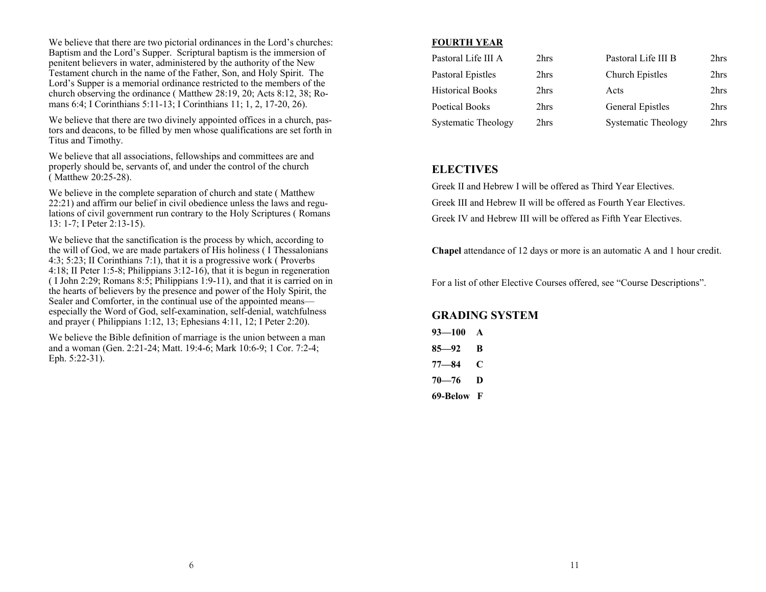We believe that there are two pictorial ordinances in the Lord's churches: Baptism and the Lord's Supper. Scriptural baptism is the immersion of penitent believers in water, administered by the authority of the New Testament church in the name of the Father, Son, and Holy Spirit. The Lord's Supper is a memorial ordinance restricted to the members of the church observing the ordinance ( Matthew 28:19, 20; Acts 8:12, 38; Romans 6:4; I Corinthians 5:11-13; I Corinthians 11; 1, 2, 17-20, 26).

We believe that there are two divinely appointed offices in a church, pastors and deacons, to be filled by men whose qualifications are set forth in Titus and Timothy.

We believe that all associations, fellowships and committees are and properly should be, servants of, and under the control of the church ( Matthew 20:25-28).

We believe in the complete separation of church and state ( Matthew 22:21) and affirm our belief in civil obedience unless the laws and regulations of civil government run contrary to the Holy Scriptures ( Romans 13: 1-7; I Peter 2:13-15).

We believe that the sanctification is the process by which, according to the will of God, we are made partakers of His holiness ( I Thessalonians 4:3; 5:23; II Corinthians 7:1), that it is a progressive work ( Proverbs 4:18; II Peter 1:5-8; Philippians 3:12-16), that it is begun in regeneration ( I John 2:29; Romans 8:5; Philippians 1:9-11), and that it is carried on in the hearts of believers by the presence and power of the Holy Spirit, the Sealer and Comforter, in the continual use of the appointed means especially the Word of God, self-examination, self-denial, watchfulness and prayer ( Philippians 1:12, 13; Ephesians 4:11, 12; I Peter 2:20).

We believe the Bible definition of marriage is the union between a man and a woman (Gen. 2:21-24; Matt. 19:4-6; Mark 10:6-9; 1 Cor. 7:2-4; Eph. 5:22-31).

#### **FOURTH YEAR**

| Pastoral Life III A     | 2hrs | Pastoral Life III B     | 2hrs |
|-------------------------|------|-------------------------|------|
| Pastoral Epistles       | 2hrs | Church Epistles         | 2hrs |
| <b>Historical Books</b> | 2hrs | Acts                    | 2hrs |
| Poetical Books          | 2hrs | <b>General Epistles</b> | 2hrs |
| Systematic Theology     | 2hrs | Systematic Theology     | 2hrs |

### **ELECTIVES**

Greek II and Hebrew I will be offered as Third Year Electives. Greek III and Hebrew II will be offered as Fourth Year Electives. Greek IV and Hebrew III will be offered as Fifth Year Electives.

**Chapel** attendance of 12 days or more is an automatic A and 1 hour credit.

For a list of other Elective Courses offered, see "Course Descriptions".

#### **GRADING SYSTEM**

| $93 - 100$ | A |
|------------|---|
| 85—92      | B |
| 77—84      | C |
| $70 - 76$  | D |
| 69-Below F |   |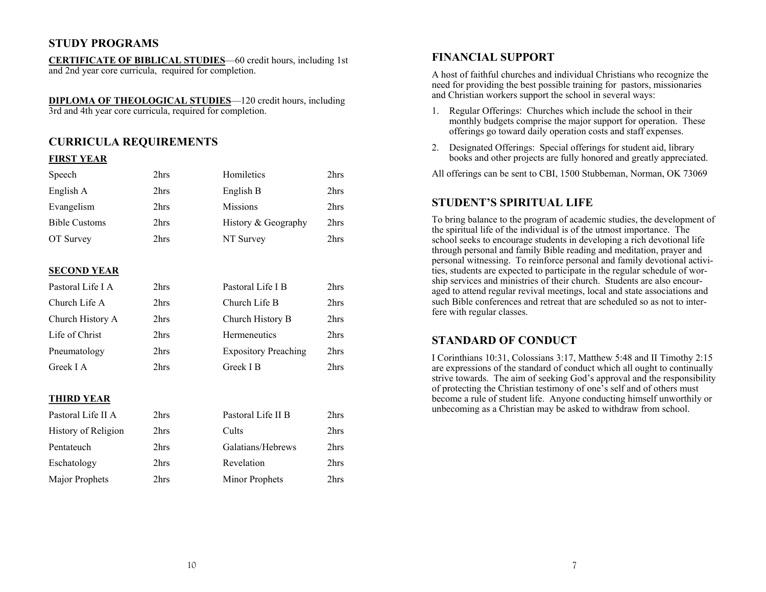# **STUDY PROGRAMS**

**CERTIFICATE OF BIBLICAL STUDIES**—60 credit hours, including 1st and 2nd year core curricula, required for completion.

**DIPLOMA OF THEOLOGICAL STUDIES**—120 credit hours, including 3rd and 4th year core curricula, required for completion.

# **CURRICULA REQUIREMENTS**

#### **FIRST YEAR**

| Speech               | 2hrs | Homiletics          | 2hrs             |
|----------------------|------|---------------------|------------------|
| English A            | 2hrs | English B           | 2hrs             |
| Evangelism           | 2hrs | <b>Missions</b>     | 2hrs             |
| <b>Bible Customs</b> | 2hrs | History & Geography | 2hrs             |
| OT Survey            | 2hrs | NT Survey           | 2hrs             |
|                      |      |                     |                  |
| <b>SECOND YEAR</b>   |      |                     |                  |
| Pastoral Life LA     | 2hrs | Pastoral Life I B   | 2 <sub>hrs</sub> |
| Church Life A        | 2hrs | Church Life B       | 2hrs             |
| Church History A     | 2hrs | Church History B    | 2hrs             |
| Life of Christ       | 2hrs | Hermeneutics        | 2hrs             |

#### Pneumatology 2hrs Expository Preaching 2hrs Greek I A 2hrs Greek I B 2hrs 2hrs

#### **THIRD YEAR**

| Pastoral Life II A  | 2hrs | Pastoral Life II B | 2hrs |
|---------------------|------|--------------------|------|
| History of Religion | 2hrs | Cults              | 2hrs |
| Pentateuch          | 2hrs | Galatians/Hebrews  | 2hrs |
| Eschatology         | 2hrs | Revelation         | 2hrs |
| Major Prophets      | 2hrs | Minor Prophets     | 2hrs |

#### **FINANCIAL SUPPORT**

A host of faithful churches and individual Christians who recognize the need for providing the best possible training for pastors, missionaries and Christian workers support the school in several ways:

- 1. Regular Offerings: Churches which include the school in their monthly budgets comprise the major support for operation. These offerings go toward daily operation costs and staff expenses.
- 2. Designated Offerings: Special offerings for student aid, library books and other projects are fully honored and greatly appreciated.
- All offerings can be sent to CBI, 1500 Stubbeman, Norman, OK 73069

#### **STUDENT'S SPIRITUAL LIFE**

To bring balance to the program of academic studies, the development of the spiritual life of the individual is of the utmost importance. The school seeks to encourage students in developing a rich devotional life through personal and family Bible reading and meditation, prayer and personal witnessing. To reinforce personal and family devotional activities, students are expected to participate in the regular schedule of worship services and ministries of their church. Students are also encouraged to attend regular revival meetings, local and state associations and such Bible conferences and retreat that are scheduled so as not to interfere with regular classes.

### **STANDARD OF CONDUCT**

I Corinthians 10:31, Colossians 3:17, Matthew 5:48 and II Timothy 2:15 are expressions of the standard of conduct which all ought to continually strive towards. The aim of seeking God's approval and the responsibility of protecting the Christian testimony of one's self and of others must become a rule of student life. Anyone conducting himself unworthily or unbecoming as a Christian may be asked to withdraw from school.